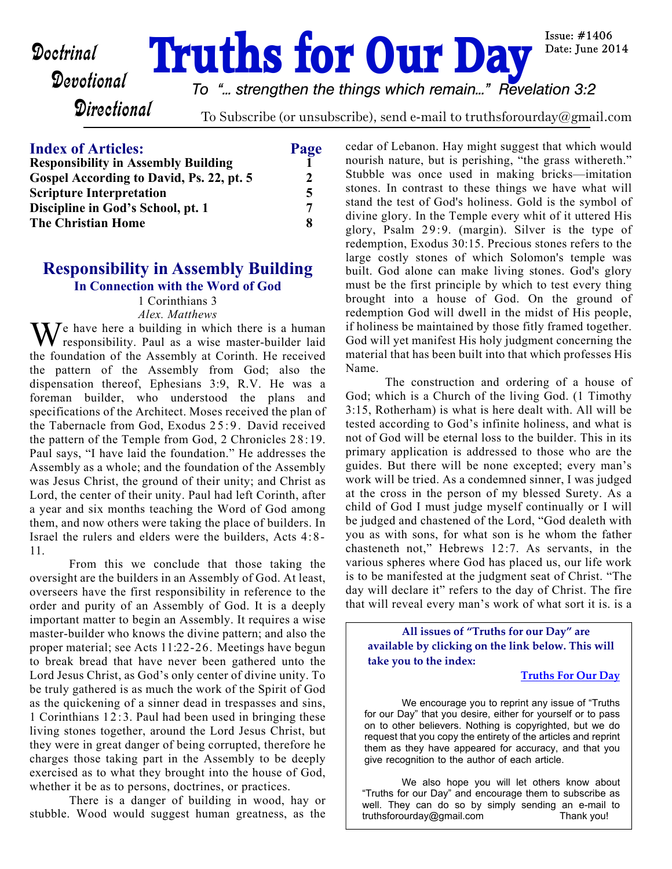# **Doctrinal Truths for Our Day**

Issue:  $\#1406$ Date: June 2014

*To "... strengthen the things which remain..." Revelation 3:2*

**Directional** 

To Subscribe (or unsubscribe), send e-mail to truthsforourday@gmail.com

| <b>Index of Articles:</b>                  | Page          |
|--------------------------------------------|---------------|
| <b>Responsibility in Assembly Building</b> |               |
| Gospel According to David, Ps. 22, pt. 5   | $\mathcal{L}$ |
| <b>Scripture Interpretation</b>            | 5             |
| Discipline in God's School, pt. 1          |               |
| <b>The Christian Home</b>                  |               |

## **Responsibility in Assembly Building**

**In Connection with the Word of God**

1 Corinthians 3 *Alex. Matthews*

 $\sum_{n=1}^{\infty}$  *J*e have here a building in which there is a human responsibility. Paul as a wise master-builder laid the foundation of the Assembly at Corinth. He received the pattern of the Assembly from God; also the dispensation thereof, Ephesians 3:9, R.V. He was a foreman builder, who understood the plans and specifications of the Architect. Moses received the plan of the Tabernacle from God, Exodus 2 5 : 9 . David received the pattern of the Temple from God, 2 Chronicles 28:19. Paul says, "I have laid the foundation." He addresses the Assembly as a whole; and the foundation of the Assembly was Jesus Christ, the ground of their unity; and Christ as Lord, the center of their unity. Paul had left Corinth, after a year and six months teaching the Word of God among them, and now others were taking the place of builders. In Israel the rulers and elders were the builders, Acts 4:8- 11.

From this we conclude that those taking the oversight are the builders in an Assembly of God. At least, overseers have the first responsibility in reference to the order and purity of an Assembly of God. It is a deeply important matter to begin an Assembly. It requires a wise master-builder who knows the divine pattern; and also the proper material; see Acts 11:22-26. Meetings have begun to break bread that have never been gathered unto the Lord Jesus Christ, as God's only center of divine unity. To be truly gathered is as much the work of the Spirit of God as the quickening of a sinner dead in trespasses and sins, 1 Corinthians 1 2 : 3. Paul had been used in bringing these living stones together, around the Lord Jesus Christ, but they were in great danger of being corrupted, therefore he charges those taking part in the Assembly to be deeply exercised as to what they brought into the house of God, whether it be as to persons, doctrines, or practices.

There is a danger of building in wood, hay or stubble. Wood would suggest human greatness, as the

cedar of Lebanon. Hay might suggest that which would nourish nature, but is perishing, "the grass withereth." Stubble was once used in making bricks—imitation stones. In contrast to these things we have what will stand the test of God's holiness. Gold is the symbol of divine glory. In the Temple every whit of it uttered His glory, Psalm 29:9. (margin). Silver is the type of redemption, Exodus 30:15. Precious stones refers to the large costly stones of which Solomon's temple was built. God alone can make living stones. God's glory must be the first principle by which to test every thing brought into a house of God. On the ground of redemption God will dwell in the midst of His people, if holiness be maintained by those fitly framed together. God will yet manifest His holy judgment concerning the material that has been built into that which professes His Name.

The construction and ordering of a house of God; which is a Church of the living God. (1 Timothy 3:15, Rotherham) is what is here dealt with. All will be tested according to God's infinite holiness, and what is not of God will be eternal loss to the builder. This in its primary application is addressed to those who are the guides. But there will be none excepted; every man's work will be tried. As a condemned sinner, I was judged at the cross in the person of my blessed Surety. As a child of God I must judge myself continually or I will be judged and chastened of the Lord, "God dealeth with you as with sons, for what son is he whom the father chasteneth not," Hebrews 12:7. As servants, in the various spheres where God has placed us, our life work is to be manifested at the judgment seat of Christ. "The day will declare it" refers to the day of Christ. The fire that will reveal every man's work of what sort it is. is a

**All issues of "Truths for our Day" are available by clicking on the link below. This will take you to the index:**

#### **[Truths For Our Day](http://truthsforouurday.com)**

 We encourage you to reprint any issue of "Truths for our Day" that you desire, either for yourself or to pass on to other believers. Nothing is copyrighted, but we do request that you copy the entirety of the articles and reprint them as they have appeared for accuracy, and that you give recognition to the author of each article.

 We also hope you will let others know about "Truths for our Day" and encourage them to subscribe as well. They can do so by simply sending an e-mail to truthsforourday@gmail.com Thank you!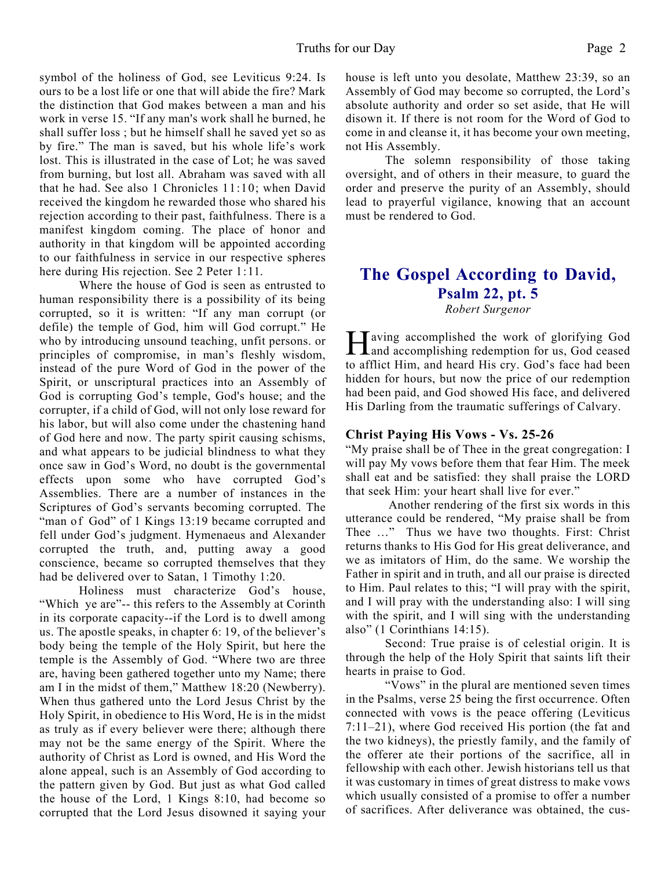symbol of the holiness of God, see Leviticus 9:24. Is ours to be a lost life or one that will abide the fire? Mark the distinction that God makes between a man and his work in verse 15. "If any man's work shall he burned, he shall suffer loss ; but he himself shall he saved yet so as by fire." The man is saved, but his whole life's work lost. This is illustrated in the case of Lot; he was saved from burning, but lost all. Abraham was saved with all that he had. See also 1 Chronicles 11:10; when David received the kingdom he rewarded those who shared his rejection according to their past, faithfulness. There is a manifest kingdom coming. The place of honor and authority in that kingdom will be appointed according to our faithfulness in service in our respective spheres here during His rejection. See 2 Peter 1:11.

Where the house of God is seen as entrusted to human responsibility there is a possibility of its being corrupted, so it is written: "If any man corrupt (or defile) the temple of God, him will God corrupt." He who by introducing unsound teaching, unfit persons. or principles of compromise, in man's fleshly wisdom, instead of the pure Word of God in the power of the Spirit, or unscriptural practices into an Assembly of God is corrupting God's temple, God's house; and the corrupter, if a child of God, will not only lose reward for his labor, but will also come under the chastening hand of God here and now. The party spirit causing schisms, and what appears to be judicial blindness to what they once saw in God's Word, no doubt is the governmental effects upon some who have corrupted God's Assemblies. There are a number of instances in the Scriptures of God's servants becoming corrupted. The "man of God" of 1 Kings 13:19 became corrupted and fell under God's judgment. Hymenaeus and Alexander corrupted the truth, and, putting away a good conscience, became so corrupted themselves that they had be delivered over to Satan, 1 Timothy 1:20.

Holiness must characterize God's house, "Which ye are"-- this refers to the Assembly at Corinth in its corporate capacity--if the Lord is to dwell among us. The apostle speaks, in chapter 6: 19, of the believer's body being the temple of the Holy Spirit, but here the temple is the Assembly of God. "Where two are three are, having been gathered together unto my Name; there am I in the midst of them," Matthew 18:20 (Newberry). When thus gathered unto the Lord Jesus Christ by the Holy Spirit, in obedience to His Word, He is in the midst as truly as if every believer were there; although there may not be the same energy of the Spirit. Where the authority of Christ as Lord is owned, and His Word the alone appeal, such is an Assembly of God according to the pattern given by God. But just as what God called the house of the Lord, 1 Kings 8:10, had become so corrupted that the Lord Jesus disowned it saying your

house is left unto you desolate, Matthew 23:39, so an Assembly of God may become so corrupted, the Lord's absolute authority and order so set aside, that He will disown it. If there is not room for the Word of God to come in and cleanse it, it has become your own meeting, not His Assembly.

The solemn responsibility of those taking oversight, and of others in their measure, to guard the order and preserve the purity of an Assembly, should lead to prayerful vigilance, knowing that an account must be rendered to God.

# **The Gospel According to David, Psalm 22, pt. 5**

*Robert Surgenor*

H aving accomplished the work of glorifying God<br>and accomplishing redemption for us, God ceased aving accomplished the work of glorifying God to afflict Him, and heard His cry. God's face had been hidden for hours, but now the price of our redemption had been paid, and God showed His face, and delivered His Darling from the traumatic sufferings of Calvary.

#### **Christ Paying His Vows - Vs. 25-26**

"My praise shall be of Thee in the great congregation: I will pay My vows before them that fear Him. The meek shall eat and be satisfied: they shall praise the LORD that seek Him: your heart shall live for ever."

 Another rendering of the first six words in this utterance could be rendered, "My praise shall be from Thee …" Thus we have two thoughts. First: Christ returns thanks to His God for His great deliverance, and we as imitators of Him, do the same. We worship the Father in spirit and in truth, and all our praise is directed to Him. Paul relates to this; "I will pray with the spirit, and I will pray with the understanding also: I will sing with the spirit, and I will sing with the understanding also" (1 Corinthians 14:15).

 Second: True praise is of celestial origin. It is through the help of the Holy Spirit that saints lift their hearts in praise to God.

 "Vows" in the plural are mentioned seven times in the Psalms, verse 25 being the first occurrence. Often connected with vows is the peace offering (Leviticus 7:11–21), where God received His portion (the fat and the two kidneys), the priestly family, and the family of the offerer ate their portions of the sacrifice, all in fellowship with each other. Jewish historians tell us that it was customary in times of great distress to make vows which usually consisted of a promise to offer a number of sacrifices. After deliverance was obtained, the cus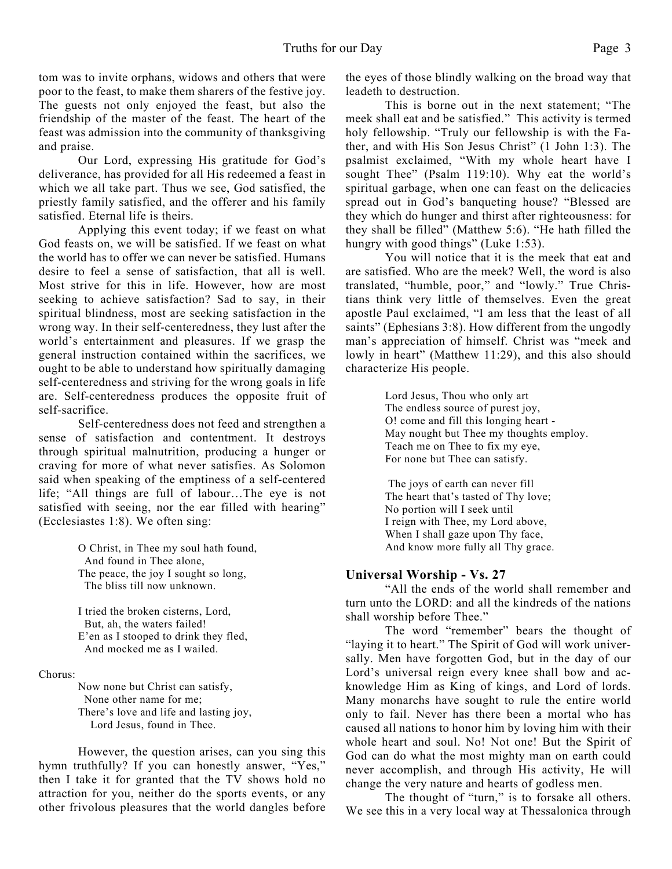tom was to invite orphans, widows and others that were poor to the feast, to make them sharers of the festive joy. The guests not only enjoyed the feast, but also the friendship of the master of the feast. The heart of the feast was admission into the community of thanksgiving and praise.

 Our Lord, expressing His gratitude for God's deliverance, has provided for all His redeemed a feast in which we all take part. Thus we see, God satisfied, the priestly family satisfied, and the offerer and his family satisfied. Eternal life is theirs.

 Applying this event today; if we feast on what God feasts on, we will be satisfied. If we feast on what the world has to offer we can never be satisfied. Humans desire to feel a sense of satisfaction, that all is well. Most strive for this in life. However, how are most seeking to achieve satisfaction? Sad to say, in their spiritual blindness, most are seeking satisfaction in the wrong way. In their self-centeredness, they lust after the world's entertainment and pleasures. If we grasp the general instruction contained within the sacrifices, we ought to be able to understand how spiritually damaging self-centeredness and striving for the wrong goals in life are. Self-centeredness produces the opposite fruit of self-sacrifice.

 Self-centeredness does not feed and strengthen a sense of satisfaction and contentment. It destroys through spiritual malnutrition, producing a hunger or craving for more of what never satisfies. As Solomon said when speaking of the emptiness of a self-centered life; "All things are full of labour…The eye is not satisfied with seeing, nor the ear filled with hearing" (Ecclesiastes 1:8). We often sing:

> O Christ, in Thee my soul hath found, And found in Thee alone, The peace, the joy I sought so long, The bliss till now unknown.

 I tried the broken cisterns, Lord, But, ah, the waters failed! E'en as I stooped to drink they fled, And mocked me as I wailed.

Chorus:

 Now none but Christ can satisfy, None other name for me; There's love and life and lasting joy, Lord Jesus, found in Thee.

 However, the question arises, can you sing this hymn truthfully? If you can honestly answer, "Yes," then I take it for granted that the TV shows hold no attraction for you, neither do the sports events, or any other frivolous pleasures that the world dangles before the eyes of those blindly walking on the broad way that leadeth to destruction.

 This is borne out in the next statement; "The meek shall eat and be satisfied." This activity is termed holy fellowship. "Truly our fellowship is with the Father, and with His Son Jesus Christ" (1 John 1:3). The psalmist exclaimed, "With my whole heart have I sought Thee" (Psalm 119:10). Why eat the world's spiritual garbage, when one can feast on the delicacies spread out in God's banqueting house? "Blessed are they which do hunger and thirst after righteousness: for they shall be filled" (Matthew 5:6). "He hath filled the hungry with good things" (Luke 1:53).

 You will notice that it is the meek that eat and are satisfied. Who are the meek? Well, the word is also translated, "humble, poor," and "lowly." True Christians think very little of themselves. Even the great apostle Paul exclaimed, "I am less that the least of all saints" (Ephesians 3:8). How different from the ungodly man's appreciation of himself. Christ was "meek and lowly in heart" (Matthew 11:29), and this also should characterize His people.

> Lord Jesus, Thou who only art The endless source of purest joy, O! come and fill this longing heart - May nought but Thee my thoughts employ. Teach me on Thee to fix my eye, For none but Thee can satisfy.

 The joys of earth can never fill The heart that's tasted of Thy love; No portion will I seek until I reign with Thee, my Lord above, When I shall gaze upon Thy face, And know more fully all Thy grace.

#### **Universal Worship - Vs. 27**

 "All the ends of the world shall remember and turn unto the LORD: and all the kindreds of the nations shall worship before Thee."

 The word "remember" bears the thought of "laying it to heart." The Spirit of God will work universally. Men have forgotten God, but in the day of our Lord's universal reign every knee shall bow and acknowledge Him as King of kings, and Lord of lords. Many monarchs have sought to rule the entire world only to fail. Never has there been a mortal who has caused all nations to honor him by loving him with their whole heart and soul. No! Not one! But the Spirit of God can do what the most mighty man on earth could never accomplish, and through His activity, He will change the very nature and hearts of godless men.

The thought of "turn," is to forsake all others. We see this in a very local way at Thessalonica through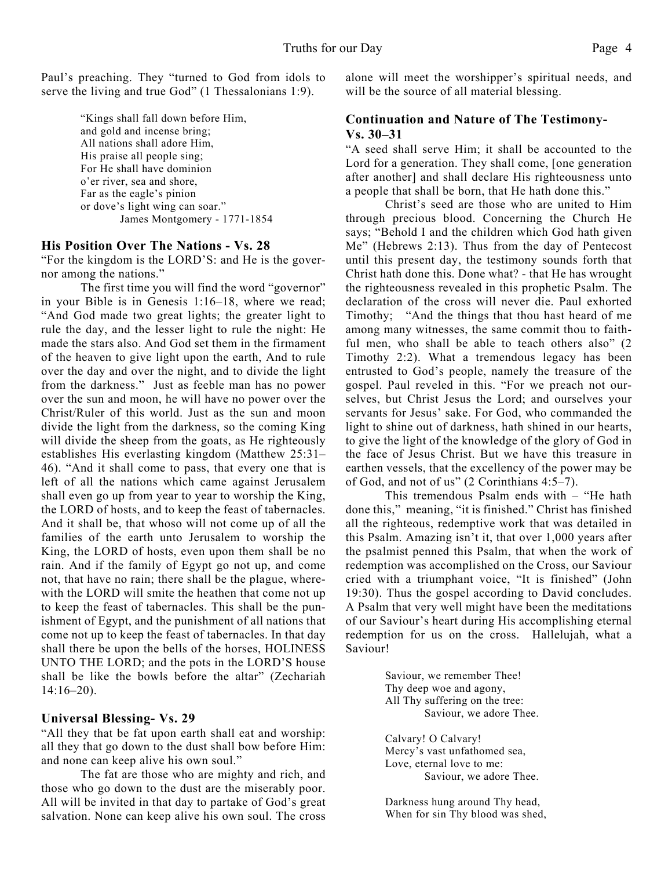Paul's preaching. They "turned to God from idols to serve the living and true God" (1 Thessalonians 1:9).

> "Kings shall fall down before Him, and gold and incense bring; All nations shall adore Him, His praise all people sing; For He shall have dominion o'er river, sea and shore, Far as the eagle's pinion or dove's light wing can soar." James Montgomery - 1771-1854

#### **His Position Over The Nations - Vs. 28**

"For the kingdom is the LORD'S: and He is the governor among the nations."

 The first time you will find the word "governor" in your Bible is in Genesis 1:16–18, where we read; "And God made two great lights; the greater light to rule the day, and the lesser light to rule the night: He made the stars also. And God set them in the firmament of the heaven to give light upon the earth, And to rule over the day and over the night, and to divide the light from the darkness." Just as feeble man has no power over the sun and moon, he will have no power over the Christ/Ruler of this world. Just as the sun and moon divide the light from the darkness, so the coming King will divide the sheep from the goats, as He righteously establishes His everlasting kingdom (Matthew 25:31– 46). "And it shall come to pass, that every one that is left of all the nations which came against Jerusalem shall even go up from year to year to worship the King, the LORD of hosts, and to keep the feast of tabernacles. And it shall be, that whoso will not come up of all the families of the earth unto Jerusalem to worship the King, the LORD of hosts, even upon them shall be no rain. And if the family of Egypt go not up, and come not, that have no rain; there shall be the plague, wherewith the LORD will smite the heathen that come not up to keep the feast of tabernacles. This shall be the punishment of Egypt, and the punishment of all nations that come not up to keep the feast of tabernacles. In that day shall there be upon the bells of the horses, HOLINESS UNTO THE LORD; and the pots in the LORD'S house shall be like the bowls before the altar" (Zechariah  $14:16-20$ ).

#### **Universal Blessing- Vs. 29**

"All they that be fat upon earth shall eat and worship: all they that go down to the dust shall bow before Him: and none can keep alive his own soul."

 The fat are those who are mighty and rich, and those who go down to the dust are the miserably poor. All will be invited in that day to partake of God's great salvation. None can keep alive his own soul. The cross

alone will meet the worshipper's spiritual needs, and will be the source of all material blessing.

#### **Continuation and Nature of The Testimony-Vs. 30–31**

"A seed shall serve Him; it shall be accounted to the Lord for a generation. They shall come, [one generation after another] and shall declare His righteousness unto a people that shall be born, that He hath done this."

 Christ's seed are those who are united to Him through precious blood. Concerning the Church He says; "Behold I and the children which God hath given Me" (Hebrews 2:13). Thus from the day of Pentecost until this present day, the testimony sounds forth that Christ hath done this. Done what? - that He has wrought the righteousness revealed in this prophetic Psalm. The declaration of the cross will never die. Paul exhorted Timothy; "And the things that thou hast heard of me among many witnesses, the same commit thou to faithful men, who shall be able to teach others also" (2 Timothy 2:2). What a tremendous legacy has been entrusted to God's people, namely the treasure of the gospel. Paul reveled in this. "For we preach not ourselves, but Christ Jesus the Lord; and ourselves your servants for Jesus' sake. For God, who commanded the light to shine out of darkness, hath shined in our hearts, to give the light of the knowledge of the glory of God in the face of Jesus Christ. But we have this treasure in earthen vessels, that the excellency of the power may be of God, and not of us" (2 Corinthians 4:5–7).

 This tremendous Psalm ends with – "He hath done this," meaning, "it is finished." Christ has finished all the righteous, redemptive work that was detailed in this Psalm. Amazing isn't it, that over 1,000 years after the psalmist penned this Psalm, that when the work of redemption was accomplished on the Cross, our Saviour cried with a triumphant voice, "It is finished" (John 19:30). Thus the gospel according to David concludes. A Psalm that very well might have been the meditations of our Saviour's heart during His accomplishing eternal redemption for us on the cross. Hallelujah, what a Saviour!

> Saviour, we remember Thee! Thy deep woe and agony, All Thy suffering on the tree: Saviour, we adore Thee.

> Calvary! O Calvary! Mercy's vast unfathomed sea, Love, eternal love to me: Saviour, we adore Thee.

 Darkness hung around Thy head, When for sin Thy blood was shed,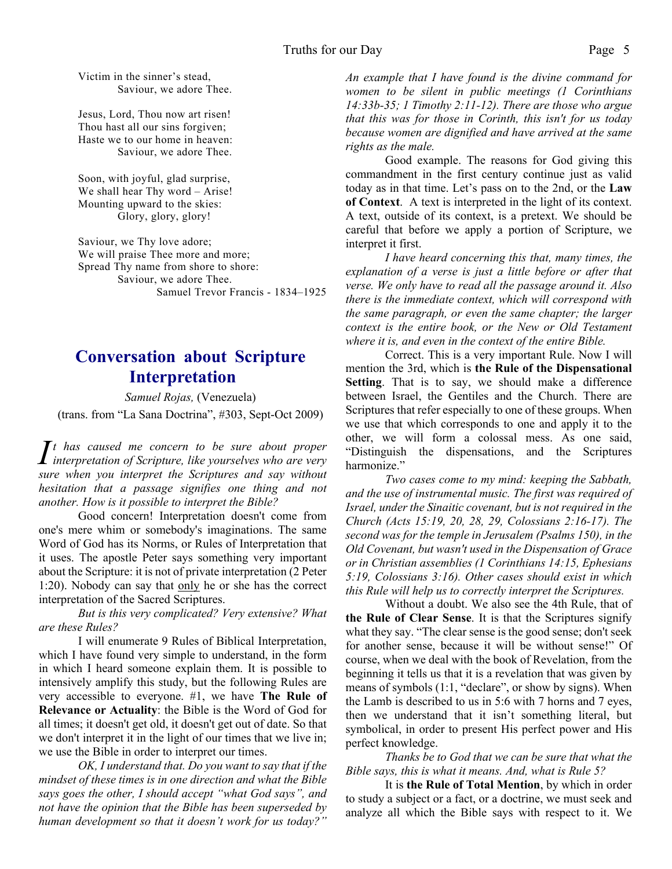Victim in the sinner's stead, Saviour, we adore Thee.

 Jesus, Lord, Thou now art risen! Thou hast all our sins forgiven; Haste we to our home in heaven: Saviour, we adore Thee.

Soon, with joyful, glad surprise, We shall hear Thy word – Arise! Mounting upward to the skies: Glory, glory, glory!

 Saviour, we Thy love adore; We will praise Thee more and more; Spread Thy name from shore to shore: Saviour, we adore Thee. Samuel Trevor Francis - 1834–1925

# **Conversation about Scripture Interpretation**

*Samuel Rojas,* (Venezuela) (trans. from "La Sana Doctrina", #303, Sept-Oct 2009)

*I*<sup>t</sup> has caused me concern to be sure about proper interpretation of Scripture, like yourselves who are very *interpretation of Scripture, like yourselves who are very sure when you interpret the Scriptures and say without hesitation that a passage signifies one thing and not another. How is it possible to interpret the Bible?*

Good concern! Interpretation doesn't come from one's mere whim or somebody's imaginations. The same Word of God has its Norms, or Rules of Interpretation that it uses. The apostle Peter says something very important about the Scripture: it is not of private interpretation (2 Peter 1:20). Nobody can say that only he or she has the correct interpretation of the Sacred Scriptures.

*But is this very complicated? Very extensive? What are these Rules?*

I will enumerate 9 Rules of Biblical Interpretation, which I have found very simple to understand, in the form in which I heard someone explain them. It is possible to intensively amplify this study, but the following Rules are very accessible to everyone. #1, we have **The Rule of Relevance or Actuality**: the Bible is the Word of God for all times; it doesn't get old, it doesn't get out of date. So that we don't interpret it in the light of our times that we live in; we use the Bible in order to interpret our times.

*OK, I understand that. Do you want to say that if the mindset of these times is in one direction and what the Bible says goes the other, I should accept "what God says", and not have the opinion that the Bible has been superseded by human development so that it doesn't work for us today?"*

*An example that I have found is the divine command for women to be silent in public meetings (1 Corinthians 14:33b-35; 1 Timothy 2:11-12). There are those who argue that this was for those in Corinth, this isn't for us today because women are dignified and have arrived at the same rights as the male.*

Good example. The reasons for God giving this commandment in the first century continue just as valid today as in that time. Let's pass on to the 2nd, or the **Law of Context**. A text is interpreted in the light of its context. A text, outside of its context, is a pretext. We should be careful that before we apply a portion of Scripture, we interpret it first.

*I have heard concerning this that, many times, the explanation of a verse is just a little before or after that verse. We only have to read all the passage around it. Also there is the immediate context, which will correspond with the same paragraph, or even the same chapter; the larger context is the entire book, or the New or Old Testament where it is, and even in the context of the entire Bible.*

Correct. This is a very important Rule. Now I will mention the 3rd, which is **the Rule of the Dispensational Setting**. That is to say, we should make a difference between Israel, the Gentiles and the Church. There are Scriptures that refer especially to one of these groups. When we use that which corresponds to one and apply it to the other, we will form a colossal mess. As one said, "Distinguish the dispensations, and the Scriptures harmonize."

*Two cases come to my mind: keeping the Sabbath, and the use of instrumental music. The first was required of Israel, under the Sinaitic covenant, but is not required in the Church (Acts 15:19, 20, 28, 29, Colossians 2:16-17). The second was for the temple in Jerusalem (Psalms 150), in the Old Covenant, but wasn't used in the Dispensation of Grace or in Christian assemblies (1 Corinthians 14:15, Ephesians 5:19, Colossians 3:16). Other cases should exist in which this Rule will help us to correctly interpret the Scriptures.*

Without a doubt. We also see the 4th Rule, that of **the Rule of Clear Sense**. It is that the Scriptures signify what they say. "The clear sense is the good sense; don't seek for another sense, because it will be without sense!" Of course, when we deal with the book of Revelation, from the beginning it tells us that it is a revelation that was given by means of symbols (1:1, "declare", or show by signs). When the Lamb is described to us in 5:6 with 7 horns and 7 eyes, then we understand that it isn't something literal, but symbolical, in order to present His perfect power and His perfect knowledge.

*Thanks be to God that we can be sure that what the Bible says, this is what it means. And, what is Rule 5?*

It is **the Rule of Total Mention**, by which in order to study a subject or a fact, or a doctrine, we must seek and analyze all which the Bible says with respect to it. We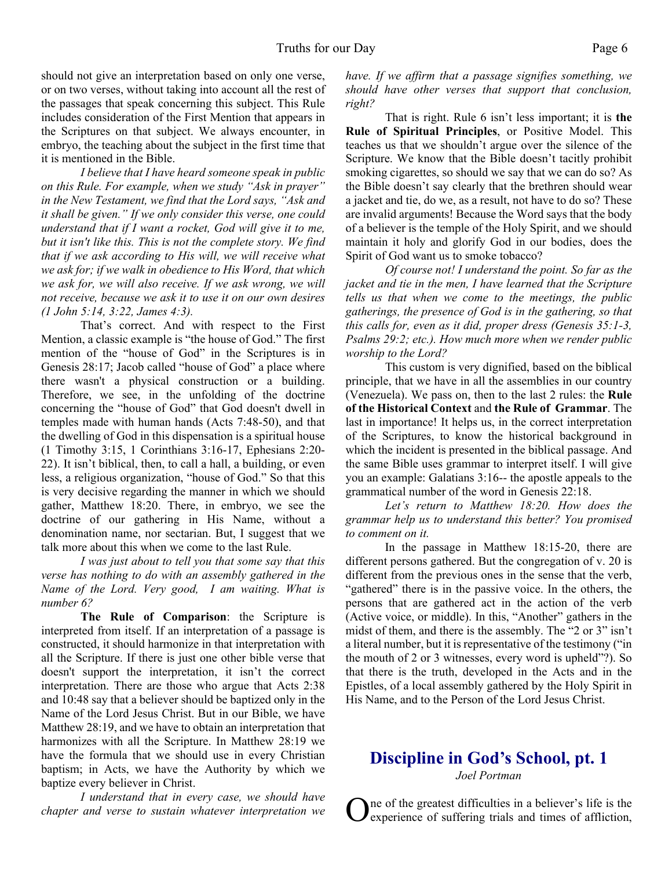should not give an interpretation based on only one verse, or on two verses, without taking into account all the rest of the passages that speak concerning this subject. This Rule includes consideration of the First Mention that appears in the Scriptures on that subject. We always encounter, in embryo, the teaching about the subject in the first time that it is mentioned in the Bible.

*I believe that I have heard someone speak in public on this Rule. For example, when we study "Ask in prayer" in the New Testament, we find that the Lord says, "Ask and it shall be given." If we only consider this verse, one could understand that if I want a rocket, God will give it to me, but it isn't like this. This is not the complete story. We find that if we ask according to His will, we will receive what we ask for; if we walk in obedience to His Word, that which we ask for, we will also receive. If we ask wrong, we will not receive, because we ask it to use it on our own desires (1 John 5:14, 3:22, James 4:3).*

That's correct. And with respect to the First Mention, a classic example is "the house of God." The first mention of the "house of God" in the Scriptures is in Genesis 28:17; Jacob called "house of God" a place where there wasn't a physical construction or a building. Therefore, we see, in the unfolding of the doctrine concerning the "house of God" that God doesn't dwell in temples made with human hands (Acts 7:48-50), and that the dwelling of God in this dispensation is a spiritual house (1 Timothy 3:15, 1 Corinthians 3:16-17, Ephesians 2:20- 22). It isn't biblical, then, to call a hall, a building, or even less, a religious organization, "house of God." So that this is very decisive regarding the manner in which we should gather, Matthew 18:20. There, in embryo, we see the doctrine of our gathering in His Name, without a denomination name, nor sectarian. But, I suggest that we talk more about this when we come to the last Rule.

*I was just about to tell you that some say that this verse has nothing to do with an assembly gathered in the Name of the Lord. Very good, I am waiting. What is number 6?*

**The Rule of Comparison**: the Scripture is interpreted from itself. If an interpretation of a passage is constructed, it should harmonize in that interpretation with all the Scripture. If there is just one other bible verse that doesn't support the interpretation, it isn't the correct interpretation. There are those who argue that Acts 2:38 and 10:48 say that a believer should be baptized only in the Name of the Lord Jesus Christ. But in our Bible, we have Matthew 28:19, and we have to obtain an interpretation that harmonizes with all the Scripture. In Matthew 28:19 we have the formula that we should use in every Christian baptism; in Acts, we have the Authority by which we baptize every believer in Christ.

*I understand that in every case, we should have chapter and verse to sustain whatever interpretation we* *have. If we affirm that a passage signifies something, we should have other verses that support that conclusion, right?*

That is right. Rule 6 isn't less important; it is **the Rule of Spiritual Principles**, or Positive Model. This teaches us that we shouldn't argue over the silence of the Scripture. We know that the Bible doesn't tacitly prohibit smoking cigarettes, so should we say that we can do so? As the Bible doesn't say clearly that the brethren should wear a jacket and tie, do we, as a result, not have to do so? These are invalid arguments! Because the Word says that the body of a believer is the temple of the Holy Spirit, and we should maintain it holy and glorify God in our bodies, does the Spirit of God want us to smoke tobacco?

*Of course not! I understand the point. So far as the jacket and tie in the men, I have learned that the Scripture tells us that when we come to the meetings, the public gatherings, the presence of God is in the gathering, so that this calls for, even as it did, proper dress (Genesis 35:1-3, Psalms 29:2; etc.). How much more when we render public worship to the Lord?*

This custom is very dignified, based on the biblical principle, that we have in all the assemblies in our country (Venezuela). We pass on, then to the last 2 rules: the **Rule of the Historical Context** and **the Rule of Grammar**. The last in importance! It helps us, in the correct interpretation of the Scriptures, to know the historical background in which the incident is presented in the biblical passage. And the same Bible uses grammar to interpret itself. I will give you an example: Galatians 3:16-- the apostle appeals to the grammatical number of the word in Genesis 22:18.

*Let's return to Matthew 18:20. How does the grammar help us to understand this better? You promised to comment on it.*

In the passage in Matthew 18:15-20, there are different persons gathered. But the congregation of v. 20 is different from the previous ones in the sense that the verb, "gathered" there is in the passive voice. In the others, the persons that are gathered act in the action of the verb (Active voice, or middle). In this, "Another" gathers in the midst of them, and there is the assembly. The "2 or 3" isn't a literal number, but it is representative of the testimony ("in the mouth of 2 or 3 witnesses, every word is upheld"?). So that there is the truth, developed in the Acts and in the Epistles, of a local assembly gathered by the Holy Spirit in His Name, and to the Person of the Lord Jesus Christ.

## **Discipline in God's School, pt. 1**

*Joel Portman*

O ne of the greatest difficulties in a believer's life is the experience of suffering trials and times of affliction,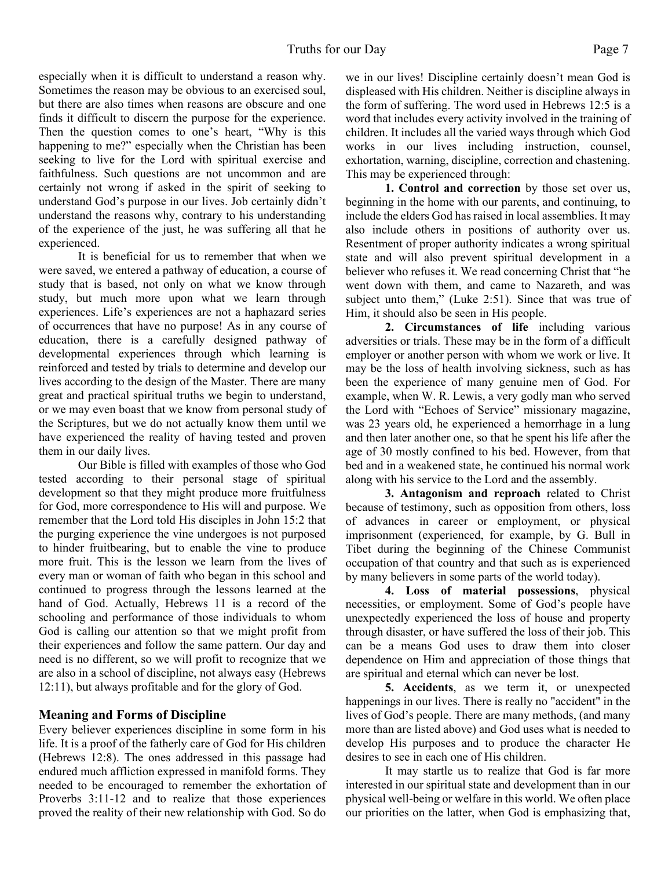especially when it is difficult to understand a reason why. Sometimes the reason may be obvious to an exercised soul, but there are also times when reasons are obscure and one finds it difficult to discern the purpose for the experience. Then the question comes to one's heart, "Why is this happening to me?" especially when the Christian has been seeking to live for the Lord with spiritual exercise and faithfulness. Such questions are not uncommon and are certainly not wrong if asked in the spirit of seeking to understand God's purpose in our lives. Job certainly didn't understand the reasons why, contrary to his understanding of the experience of the just, he was suffering all that he experienced.

 It is beneficial for us to remember that when we were saved, we entered a pathway of education, a course of study that is based, not only on what we know through study, but much more upon what we learn through experiences. Life's experiences are not a haphazard series of occurrences that have no purpose! As in any course of education, there is a carefully designed pathway of developmental experiences through which learning is reinforced and tested by trials to determine and develop our lives according to the design of the Master. There are many great and practical spiritual truths we begin to understand, or we may even boast that we know from personal study of the Scriptures, but we do not actually know them until we have experienced the reality of having tested and proven them in our daily lives.

 Our Bible is filled with examples of those who God tested according to their personal stage of spiritual development so that they might produce more fruitfulness for God, more correspondence to His will and purpose. We remember that the Lord told His disciples in John 15:2 that the purging experience the vine undergoes is not purposed to hinder fruitbearing, but to enable the vine to produce more fruit. This is the lesson we learn from the lives of every man or woman of faith who began in this school and continued to progress through the lessons learned at the hand of God. Actually, Hebrews 11 is a record of the schooling and performance of those individuals to whom God is calling our attention so that we might profit from their experiences and follow the same pattern. Our day and need is no different, so we will profit to recognize that we are also in a school of discipline, not always easy (Hebrews 12:11), but always profitable and for the glory of God.

#### **Meaning and Forms of Discipline**

Every believer experiences discipline in some form in his life. It is a proof of the fatherly care of God for His children (Hebrews 12:8). The ones addressed in this passage had endured much affliction expressed in manifold forms. They needed to be encouraged to remember the exhortation of Proverbs 3:11-12 and to realize that those experiences proved the reality of their new relationship with God. So do

we in our lives! Discipline certainly doesn't mean God is displeased with His children. Neither is discipline always in the form of suffering. The word used in Hebrews 12:5 is a word that includes every activity involved in the training of children. It includes all the varied ways through which God works in our lives including instruction, counsel, exhortation, warning, discipline, correction and chastening. This may be experienced through:

**1. Control and correction** by those set over us, beginning in the home with our parents, and continuing, to include the elders God has raised in local assemblies. It may also include others in positions of authority over us. Resentment of proper authority indicates a wrong spiritual state and will also prevent spiritual development in a believer who refuses it. We read concerning Christ that "he went down with them, and came to Nazareth, and was subject unto them," (Luke 2:51). Since that was true of Him, it should also be seen in His people.

**2. Circumstances of life** including various adversities or trials. These may be in the form of a difficult employer or another person with whom we work or live. It may be the loss of health involving sickness, such as has been the experience of many genuine men of God. For example, when W. R. Lewis, a very godly man who served the Lord with "Echoes of Service" missionary magazine, was 23 years old, he experienced a hemorrhage in a lung and then later another one, so that he spent his life after the age of 30 mostly confined to his bed. However, from that bed and in a weakened state, he continued his normal work along with his service to the Lord and the assembly.

**3. Antagonism and reproach** related to Christ because of testimony, such as opposition from others, loss of advances in career or employment, or physical imprisonment (experienced, for example, by G. Bull in Tibet during the beginning of the Chinese Communist occupation of that country and that such as is experienced by many believers in some parts of the world today).

**4. Loss of material possessions**, physical necessities, or employment. Some of God's people have unexpectedly experienced the loss of house and property through disaster, or have suffered the loss of their job. This can be a means God uses to draw them into closer dependence on Him and appreciation of those things that are spiritual and eternal which can never be lost.

**5. Accidents**, as we term it, or unexpected happenings in our lives. There is really no "accident" in the lives of God's people. There are many methods, (and many more than are listed above) and God uses what is needed to develop His purposes and to produce the character He desires to see in each one of His children.

 It may startle us to realize that God is far more interested in our spiritual state and development than in our physical well-being or welfare in this world. We often place our priorities on the latter, when God is emphasizing that,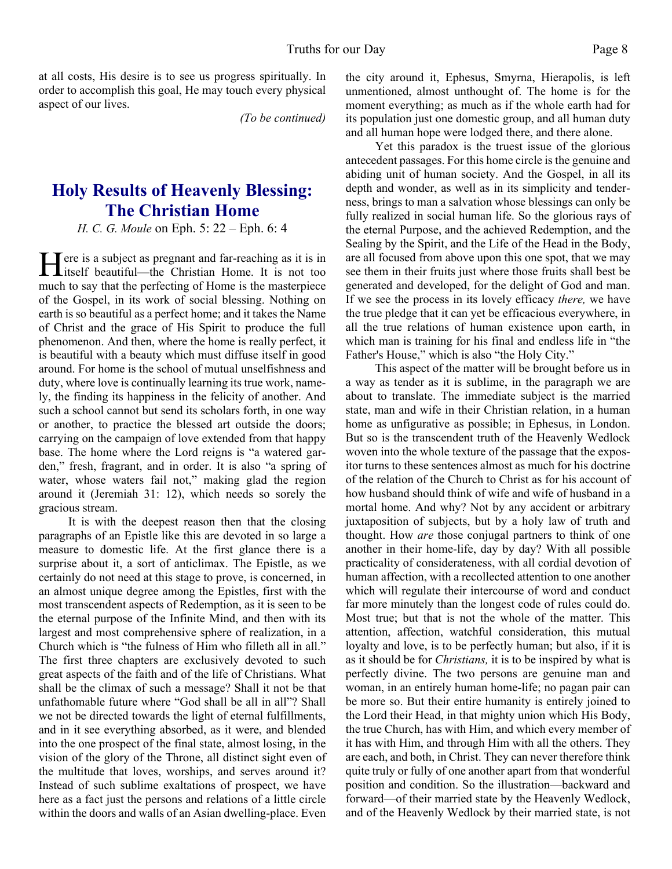at all costs, His desire is to see us progress spiritually. In order to accomplish this goal, He may touch every physical aspect of our lives.

*(To be continued)*

## **Holy Results of Heavenly Blessing: The Christian Home**

*H. C. G. Moule* on Eph. 5: 22 – Eph. 6: 4

Here is a subject as pregnant and far-reaching as it is in<br>itself beautiful—the Christian Home. It is not too  $\mathbf{\Gamma}$  ere is a subject as pregnant and far-reaching as it is in much to say that the perfecting of Home is the masterpiece of the Gospel, in its work of social blessing. Nothing on earth is so beautiful as a perfect home; and it takes the Name of Christ and the grace of His Spirit to produce the full phenomenon. And then, where the home is really perfect, it is beautiful with a beauty which must diffuse itself in good around. For home is the school of mutual unselfishness and duty, where love is continually learning its true work, namely, the finding its happiness in the felicity of another. And such a school cannot but send its scholars forth, in one way or another, to practice the blessed art outside the doors; carrying on the campaign of love extended from that happy base. The home where the Lord reigns is "a watered garden," fresh, fragrant, and in order. It is also "a spring of water, whose waters fail not," making glad the region around it (Jeremiah 31: 12), which needs so sorely the gracious stream.

It is with the deepest reason then that the closing paragraphs of an Epistle like this are devoted in so large a measure to domestic life. At the first glance there is a surprise about it, a sort of anticlimax. The Epistle, as we certainly do not need at this stage to prove, is concerned, in an almost unique degree among the Epistles, first with the most transcendent aspects of Redemption, as it is seen to be the eternal purpose of the Infinite Mind, and then with its largest and most comprehensive sphere of realization, in a Church which is "the fulness of Him who filleth all in all." The first three chapters are exclusively devoted to such great aspects of the faith and of the life of Christians. What shall be the climax of such a message? Shall it not be that unfathomable future where "God shall be all in all"? Shall we not be directed towards the light of eternal fulfillments, and in it see everything absorbed, as it were, and blended into the one prospect of the final state, almost losing, in the vision of the glory of the Throne, all distinct sight even of the multitude that loves, worships, and serves around it? Instead of such sublime exaltations of prospect, we have here as a fact just the persons and relations of a little circle within the doors and walls of an Asian dwelling-place. Even the city around it, Ephesus, Smyrna, Hierapolis, is left unmentioned, almost unthought of. The home is for the moment everything; as much as if the whole earth had for its population just one domestic group, and all human duty and all human hope were lodged there, and there alone.

Yet this paradox is the truest issue of the glorious antecedent passages. For this home circle is the genuine and abiding unit of human society. And the Gospel, in all its depth and wonder, as well as in its simplicity and tenderness, brings to man a salvation whose blessings can only be fully realized in social human life. So the glorious rays of the eternal Purpose, and the achieved Redemption, and the Sealing by the Spirit, and the Life of the Head in the Body, are all focused from above upon this one spot, that we may see them in their fruits just where those fruits shall best be generated and developed, for the delight of God and man. If we see the process in its lovely efficacy *there,* we have the true pledge that it can yet be efficacious everywhere, in all the true relations of human existence upon earth, in which man is training for his final and endless life in "the Father's House," which is also "the Holy City."

This aspect of the matter will be brought before us in a way as tender as it is sublime, in the paragraph we are about to translate. The immediate subject is the married state, man and wife in their Christian relation, in a human home as unfigurative as possible; in Ephesus, in London. But so is the transcendent truth of the Heavenly Wedlock woven into the whole texture of the passage that the expositor turns to these sentences almost as much for his doctrine of the relation of the Church to Christ as for his account of how husband should think of wife and wife of husband in a mortal home. And why? Not by any accident or arbitrary juxtaposition of subjects, but by a holy law of truth and thought. How *are* those conjugal partners to think of one another in their home-life, day by day? With all possible practicality of considerateness, with all cordial devotion of human affection, with a recollected attention to one another which will regulate their intercourse of word and conduct far more minutely than the longest code of rules could do. Most true; but that is not the whole of the matter. This attention, affection, watchful consideration, this mutual loyalty and love, is to be perfectly human; but also, if it is as it should be for *Christians,* it is to be inspired by what is perfectly divine. The two persons are genuine man and woman, in an entirely human home-life; no pagan pair can be more so. But their entire humanity is entirely joined to the Lord their Head, in that mighty union which His Body, the true Church, has with Him, and which every member of it has with Him, and through Him with all the others. They are each, and both, in Christ. They can never therefore think quite truly or fully of one another apart from that wonderful position and condition. So the illustration—backward and forward—of their married state by the Heavenly Wedlock, and of the Heavenly Wedlock by their married state, is not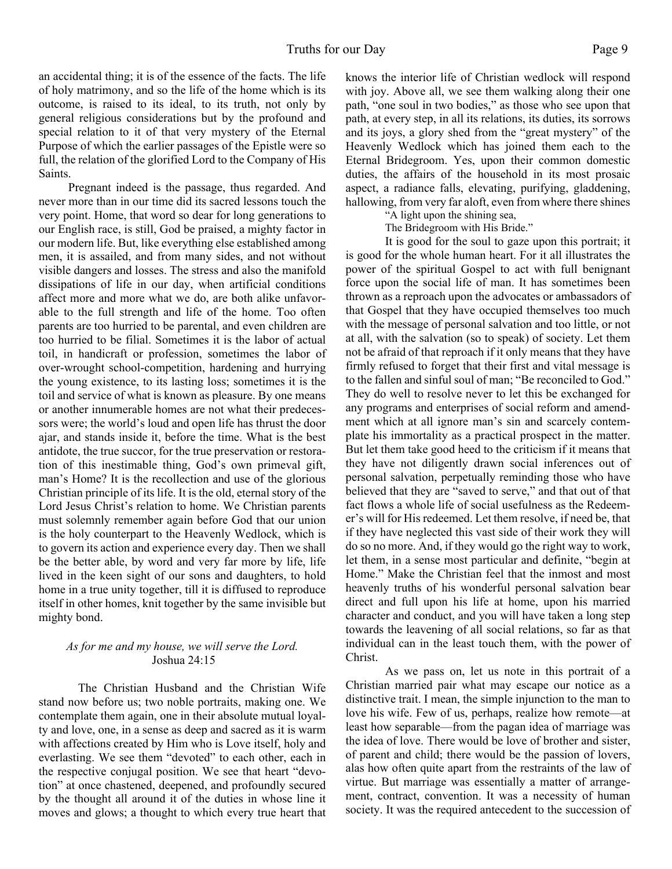an accidental thing; it is of the essence of the facts. The life of holy matrimony, and so the life of the home which is its outcome, is raised to its ideal, to its truth, not only by general religious considerations but by the profound and special relation to it of that very mystery of the Eternal Purpose of which the earlier passages of the Epistle were so full, the relation of the glorified Lord to the Company of His Saints.

Pregnant indeed is the passage, thus regarded. And never more than in our time did its sacred lessons touch the very point. Home, that word so dear for long generations to our English race, is still, God be praised, a mighty factor in our modern life. But, like everything else established among men, it is assailed, and from many sides, and not without visible dangers and losses. The stress and also the manifold dissipations of life in our day, when artificial conditions affect more and more what we do, are both alike unfavorable to the full strength and life of the home. Too often parents are too hurried to be parental, and even children are too hurried to be filial. Sometimes it is the labor of actual toil, in handicraft or profession, sometimes the labor of over-wrought school-competition, hardening and hurrying the young existence, to its lasting loss; sometimes it is the toil and service of what is known as pleasure. By one means or another innumerable homes are not what their predecessors were; the world's loud and open life has thrust the door ajar, and stands inside it, before the time. What is the best antidote, the true succor, for the true preservation or restoration of this inestimable thing, God's own primeval gift, man's Home? It is the recollection and use of the glorious Christian principle of its life. It is the old, eternal story of the Lord Jesus Christ's relation to home. We Christian parents must solemnly remember again before God that our union is the holy counterpart to the Heavenly Wedlock, which is to govern its action and experience every day. Then we shall be the better able, by word and very far more by life, life lived in the keen sight of our sons and daughters, to hold home in a true unity together, till it is diffused to reproduce itself in other homes, knit together by the same invisible but mighty bond.

#### *As for me and my house, we will serve the Lord.* Joshua 24:15

The Christian Husband and the Christian Wife stand now before us; two noble portraits, making one. We contemplate them again, one in their absolute mutual loyalty and love, one, in a sense as deep and sacred as it is warm with affections created by Him who is Love itself, holy and everlasting. We see them "devoted" to each other, each in the respective conjugal position. We see that heart "devotion" at once chastened, deepened, and profoundly secured by the thought all around it of the duties in whose line it moves and glows; a thought to which every true heart that knows the interior life of Christian wedlock will respond with joy. Above all, we see them walking along their one path, "one soul in two bodies," as those who see upon that path, at every step, in all its relations, its duties, its sorrows and its joys, a glory shed from the "great mystery" of the Heavenly Wedlock which has joined them each to the Eternal Bridegroom. Yes, upon their common domestic duties, the affairs of the household in its most prosaic aspect, a radiance falls, elevating, purifying, gladdening, hallowing, from very far aloft, even from where there shines

> "A light upon the shining sea, The Bridegroom with His Bride."

It is good for the soul to gaze upon this portrait; it is good for the whole human heart. For it all illustrates the power of the spiritual Gospel to act with full benignant force upon the social life of man. It has sometimes been thrown as a reproach upon the advocates or ambassadors of that Gospel that they have occupied themselves too much with the message of personal salvation and too little, or not at all, with the salvation (so to speak) of society. Let them not be afraid of that reproach if it only means that they have firmly refused to forget that their first and vital message is to the fallen and sinful soul of man; "Be reconciled to God." They do well to resolve never to let this be exchanged for any programs and enterprises of social reform and amendment which at all ignore man's sin and scarcely contemplate his immortality as a practical prospect in the matter. But let them take good heed to the criticism if it means that they have not diligently drawn social inferences out of personal salvation, perpetually reminding those who have believed that they are "saved to serve," and that out of that fact flows a whole life of social usefulness as the Redeemer's will for His redeemed. Let them resolve, if need be, that if they have neglected this vast side of their work they will do so no more. And, if they would go the right way to work, let them, in a sense most particular and definite, "begin at Home." Make the Christian feel that the inmost and most heavenly truths of his wonderful personal salvation bear direct and full upon his life at home, upon his married character and conduct, and you will have taken a long step towards the leavening of all social relations, so far as that individual can in the least touch them, with the power of Christ.

As we pass on, let us note in this portrait of a Christian married pair what may escape our notice as a distinctive trait. I mean, the simple injunction to the man to love his wife. Few of us, perhaps, realize how remote—at least how separable—from the pagan idea of marriage was the idea of love. There would be love of brother and sister, of parent and child; there would be the passion of lovers, alas how often quite apart from the restraints of the law of virtue. But marriage was essentially a matter of arrangement, contract, convention. It was a necessity of human society. It was the required antecedent to the succession of